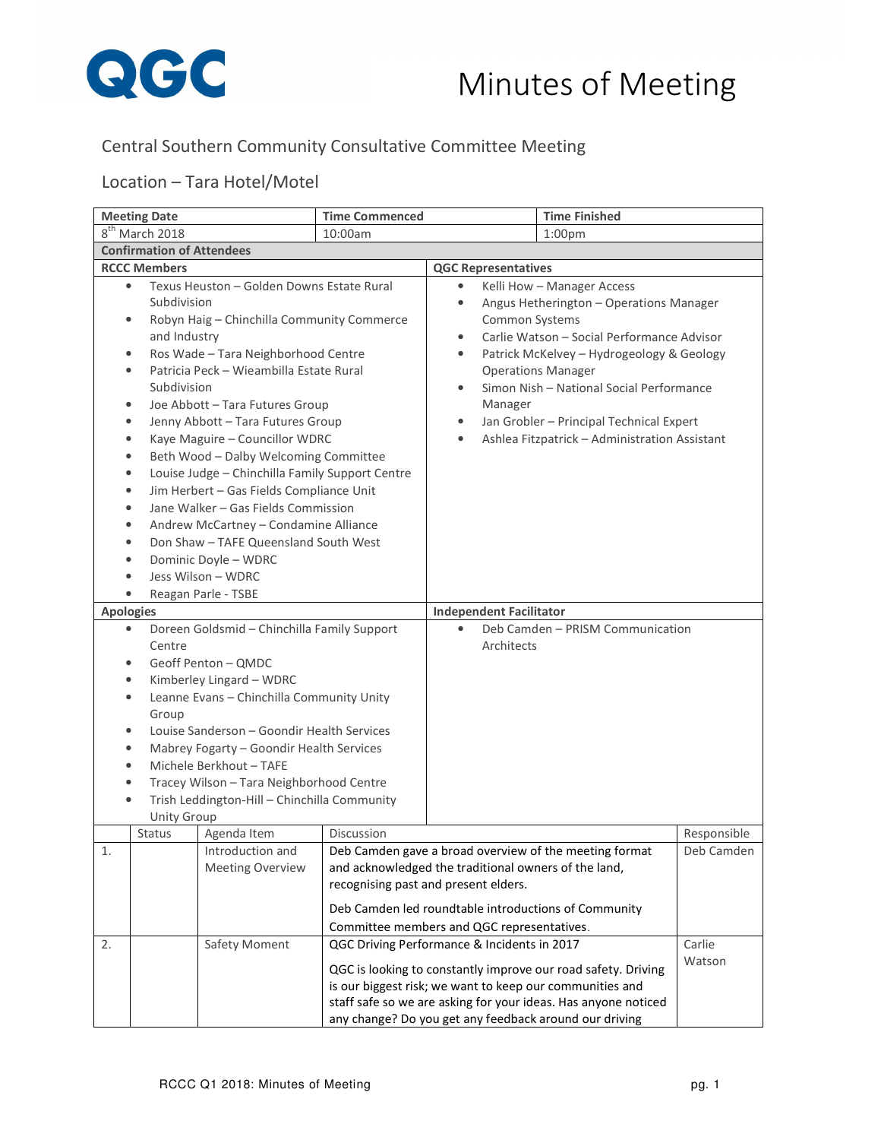

## Central Southern Community Consultative Committee Meeting

## Location – Tara Hotel/Motel

| <b>Meeting Date</b>                                                                                                                                                                                                                                                                                                                                                                                                                                                                                                                                                                                                                                                                                                                                                                                                                                                                                                                                                                            |                                             | <b>Time Finished</b><br><b>Time Commenced</b>                                                                                                                                                                                                                                                                 |                                                                                                                                                                                                                                                                                                                                                                                                                                                                                                                                      |                                                                                                                                                                   |                                                                                                                                 |                  |
|------------------------------------------------------------------------------------------------------------------------------------------------------------------------------------------------------------------------------------------------------------------------------------------------------------------------------------------------------------------------------------------------------------------------------------------------------------------------------------------------------------------------------------------------------------------------------------------------------------------------------------------------------------------------------------------------------------------------------------------------------------------------------------------------------------------------------------------------------------------------------------------------------------------------------------------------------------------------------------------------|---------------------------------------------|---------------------------------------------------------------------------------------------------------------------------------------------------------------------------------------------------------------------------------------------------------------------------------------------------------------|--------------------------------------------------------------------------------------------------------------------------------------------------------------------------------------------------------------------------------------------------------------------------------------------------------------------------------------------------------------------------------------------------------------------------------------------------------------------------------------------------------------------------------------|-------------------------------------------------------------------------------------------------------------------------------------------------------------------|---------------------------------------------------------------------------------------------------------------------------------|------------------|
|                                                                                                                                                                                                                                                                                                                                                                                                                                                                                                                                                                                                                                                                                                                                                                                                                                                                                                                                                                                                | 8 <sup>th</sup> March 2018                  |                                                                                                                                                                                                                                                                                                               | 10:00am                                                                                                                                                                                                                                                                                                                                                                                                                                                                                                                              |                                                                                                                                                                   | 1:00 <sub>pm</sub>                                                                                                              |                  |
|                                                                                                                                                                                                                                                                                                                                                                                                                                                                                                                                                                                                                                                                                                                                                                                                                                                                                                                                                                                                | <b>Confirmation of Attendees</b>            |                                                                                                                                                                                                                                                                                                               |                                                                                                                                                                                                                                                                                                                                                                                                                                                                                                                                      |                                                                                                                                                                   |                                                                                                                                 |                  |
|                                                                                                                                                                                                                                                                                                                                                                                                                                                                                                                                                                                                                                                                                                                                                                                                                                                                                                                                                                                                |                                             |                                                                                                                                                                                                                                                                                                               |                                                                                                                                                                                                                                                                                                                                                                                                                                                                                                                                      | <b>QGC Representatives</b>                                                                                                                                        |                                                                                                                                 |                  |
| <b>RCCC Members</b><br>Texus Heuston - Golden Downs Estate Rural<br>$\bullet$<br>Subdivision<br>Robyn Haig - Chinchilla Community Commerce<br>$\bullet$<br>and Industry<br>Ros Wade - Tara Neighborhood Centre<br>$\bullet$<br>Patricia Peck - Wieambilla Estate Rural<br>$\bullet$<br>Subdivision<br>Joe Abbott - Tara Futures Group<br>$\bullet$<br>Jenny Abbott - Tara Futures Group<br>$\bullet$<br>Kaye Maguire - Councillor WDRC<br>$\bullet$<br>Beth Wood - Dalby Welcoming Committee<br>$\bullet$<br>Louise Judge - Chinchilla Family Support Centre<br>$\bullet$<br>Jim Herbert - Gas Fields Compliance Unit<br>$\bullet$<br>Jane Walker - Gas Fields Commission<br>$\bullet$<br>Andrew McCartney - Condamine Alliance<br>$\bullet$<br>Don Shaw - TAFE Queensland South West<br>$\bullet$<br>Dominic Doyle - WDRC<br>$\bullet$<br>Jess Wilson - WDRC<br>$\bullet$<br>Reagan Parle - TSBE<br>$\bullet$<br><b>Apologies</b><br>Doreen Goldsmid - Chinchilla Family Support<br>$\bullet$ |                                             |                                                                                                                                                                                                                                                                                                               | Kelli How - Manager Access<br>Angus Hetherington - Operations Manager<br>$\bullet$<br>Common Systems<br>Carlie Watson - Social Performance Advisor<br>$\bullet$<br>Patrick McKelvey - Hydrogeology & Geology<br>$\bullet$<br><b>Operations Manager</b><br>Simon Nish - National Social Performance<br>$\bullet$<br>Manager<br>Jan Grobler - Principal Technical Expert<br>$\bullet$<br>Ashlea Fitzpatrick - Administration Assistant<br>$\bullet$<br><b>Independent Facilitator</b><br>Deb Camden - PRISM Communication<br>$\bullet$ |                                                                                                                                                                   |                                                                                                                                 |                  |
| $\bullet$<br>$\bullet$<br>$\bullet$<br>$\bullet$<br>$\bullet$<br>$\bullet$<br>$\bullet$                                                                                                                                                                                                                                                                                                                                                                                                                                                                                                                                                                                                                                                                                                                                                                                                                                                                                                        | Centre<br>Group<br><b>Unity Group</b>       | Geoff Penton - QMDC<br>Kimberley Lingard - WDRC<br>Leanne Evans - Chinchilla Community Unity<br>Louise Sanderson - Goondir Health Services<br>Mabrey Fogarty - Goondir Health Services<br>Michele Berkhout - TAFE<br>Tracey Wilson - Tara Neighborhood Centre<br>Trish Leddington-Hill - Chinchilla Community |                                                                                                                                                                                                                                                                                                                                                                                                                                                                                                                                      | Architects                                                                                                                                                        |                                                                                                                                 |                  |
|                                                                                                                                                                                                                                                                                                                                                                                                                                                                                                                                                                                                                                                                                                                                                                                                                                                                                                                                                                                                | <b>Status</b>                               | Agenda Item                                                                                                                                                                                                                                                                                                   | Discussion                                                                                                                                                                                                                                                                                                                                                                                                                                                                                                                           |                                                                                                                                                                   |                                                                                                                                 | Responsible      |
| 1                                                                                                                                                                                                                                                                                                                                                                                                                                                                                                                                                                                                                                                                                                                                                                                                                                                                                                                                                                                              | Introduction and<br><b>Meeting Overview</b> |                                                                                                                                                                                                                                                                                                               | and acknowledged the traditional owners of the land,<br>recognising past and present elders.<br>Deb Camden led roundtable introductions of Community<br>Committee members and QGC representatives.                                                                                                                                                                                                                                                                                                                                   | Deb Camden gave a broad overview of the meeting format                                                                                                            | Deb Camden                                                                                                                      |                  |
| 2.                                                                                                                                                                                                                                                                                                                                                                                                                                                                                                                                                                                                                                                                                                                                                                                                                                                                                                                                                                                             |                                             | Safety Moment                                                                                                                                                                                                                                                                                                 |                                                                                                                                                                                                                                                                                                                                                                                                                                                                                                                                      | QGC Driving Performance & Incidents in 2017<br>is our biggest risk; we want to keep our communities and<br>any change? Do you get any feedback around our driving | QGC is looking to constantly improve our road safety. Driving<br>staff safe so we are asking for your ideas. Has anyone noticed | Carlie<br>Watson |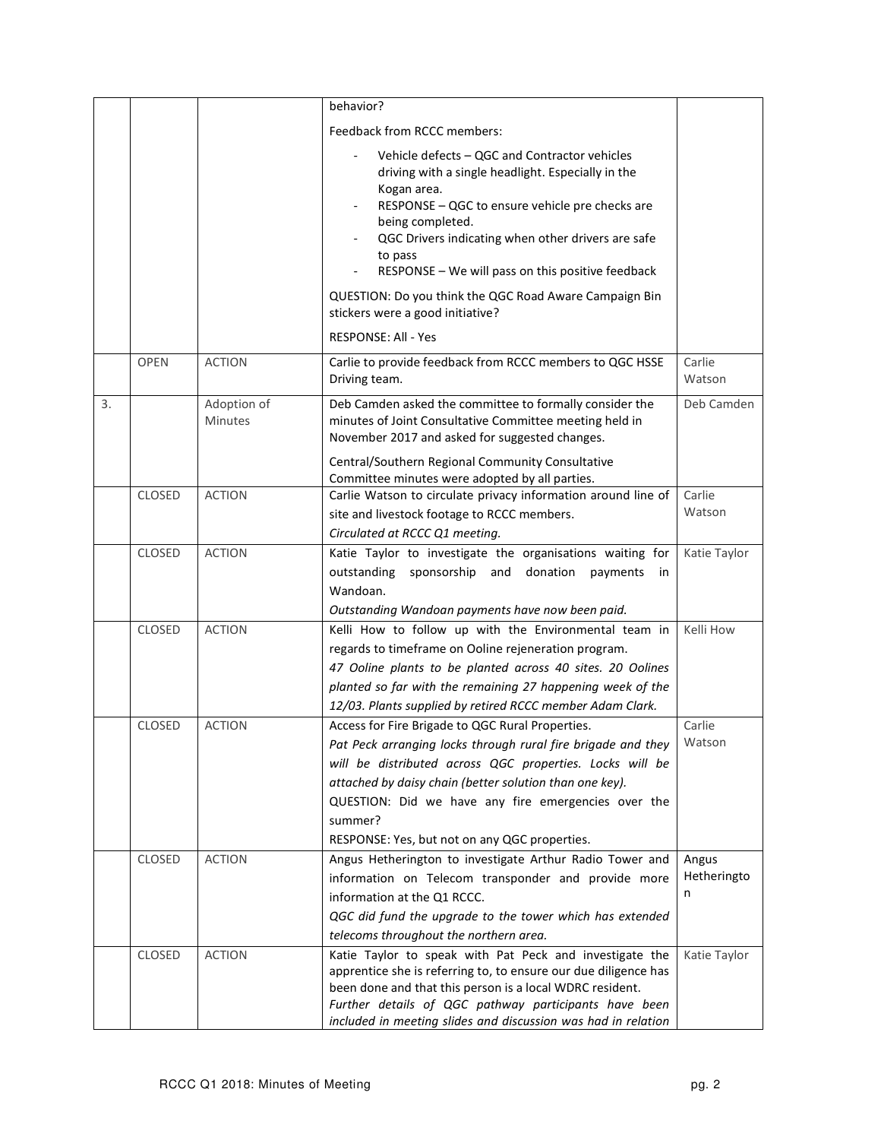|    |               |                               | behavior?                                                                                                                                                                                                                                                                                                                                                  |                           |
|----|---------------|-------------------------------|------------------------------------------------------------------------------------------------------------------------------------------------------------------------------------------------------------------------------------------------------------------------------------------------------------------------------------------------------------|---------------------------|
|    |               |                               | Feedback from RCCC members:                                                                                                                                                                                                                                                                                                                                |                           |
|    |               |                               | Vehicle defects - QGC and Contractor vehicles<br>driving with a single headlight. Especially in the<br>Kogan area.<br>RESPONSE - QGC to ensure vehicle pre checks are<br>being completed.<br>QGC Drivers indicating when other drivers are safe<br>to pass<br>RESPONSE - We will pass on this positive feedback                                            |                           |
|    |               |                               | QUESTION: Do you think the QGC Road Aware Campaign Bin<br>stickers were a good initiative?                                                                                                                                                                                                                                                                 |                           |
|    |               |                               | <b>RESPONSE: All - Yes</b>                                                                                                                                                                                                                                                                                                                                 |                           |
|    | <b>OPEN</b>   | <b>ACTION</b>                 | Carlie to provide feedback from RCCC members to QGC HSSE<br>Driving team.                                                                                                                                                                                                                                                                                  | Carlie<br>Watson          |
| 3. |               | Adoption of<br><b>Minutes</b> | Deb Camden asked the committee to formally consider the<br>minutes of Joint Consultative Committee meeting held in<br>November 2017 and asked for suggested changes.                                                                                                                                                                                       | Deb Camden                |
|    |               |                               | Central/Southern Regional Community Consultative<br>Committee minutes were adopted by all parties.                                                                                                                                                                                                                                                         |                           |
|    | <b>CLOSED</b> | <b>ACTION</b>                 | Carlie Watson to circulate privacy information around line of<br>site and livestock footage to RCCC members.<br>Circulated at RCCC Q1 meeting.                                                                                                                                                                                                             | Carlie<br>Watson          |
|    | CLOSED        | <b>ACTION</b>                 | Katie Taylor to investigate the organisations waiting for<br>outstanding sponsorship and<br>donation<br>payments<br>in.<br>Wandoan.<br>Outstanding Wandoan payments have now been paid.                                                                                                                                                                    | Katie Taylor              |
|    | <b>CLOSED</b> | <b>ACTION</b>                 | Kelli How to follow up with the Environmental team in<br>regards to timeframe on Ooline rejeneration program.<br>47 Ooline plants to be planted across 40 sites. 20 Oolines<br>planted so far with the remaining 27 happening week of the<br>12/03. Plants supplied by retired RCCC member Adam Clark.                                                     | Kelli How                 |
|    | <b>CLOSED</b> | <b>ACTION</b>                 | Access for Fire Brigade to QGC Rural Properties.<br>Pat Peck arranging locks through rural fire brigade and they<br>will be distributed across QGC properties. Locks will be<br>attached by daisy chain (better solution than one key).<br>QUESTION: Did we have any fire emergencies over the<br>summer?<br>RESPONSE: Yes, but not on any QGC properties. | Carlie<br>Watson          |
|    | <b>CLOSED</b> | <b>ACTION</b>                 | Angus Hetherington to investigate Arthur Radio Tower and<br>information on Telecom transponder and provide more<br>information at the Q1 RCCC.<br>QGC did fund the upgrade to the tower which has extended<br>telecoms throughout the northern area.                                                                                                       | Angus<br>Hetheringto<br>n |
|    | <b>CLOSED</b> | <b>ACTION</b>                 | Katie Taylor to speak with Pat Peck and investigate the<br>apprentice she is referring to, to ensure our due diligence has<br>been done and that this person is a local WDRC resident.<br>Further details of QGC pathway participants have been<br>included in meeting slides and discussion was had in relation                                           | Katie Taylor              |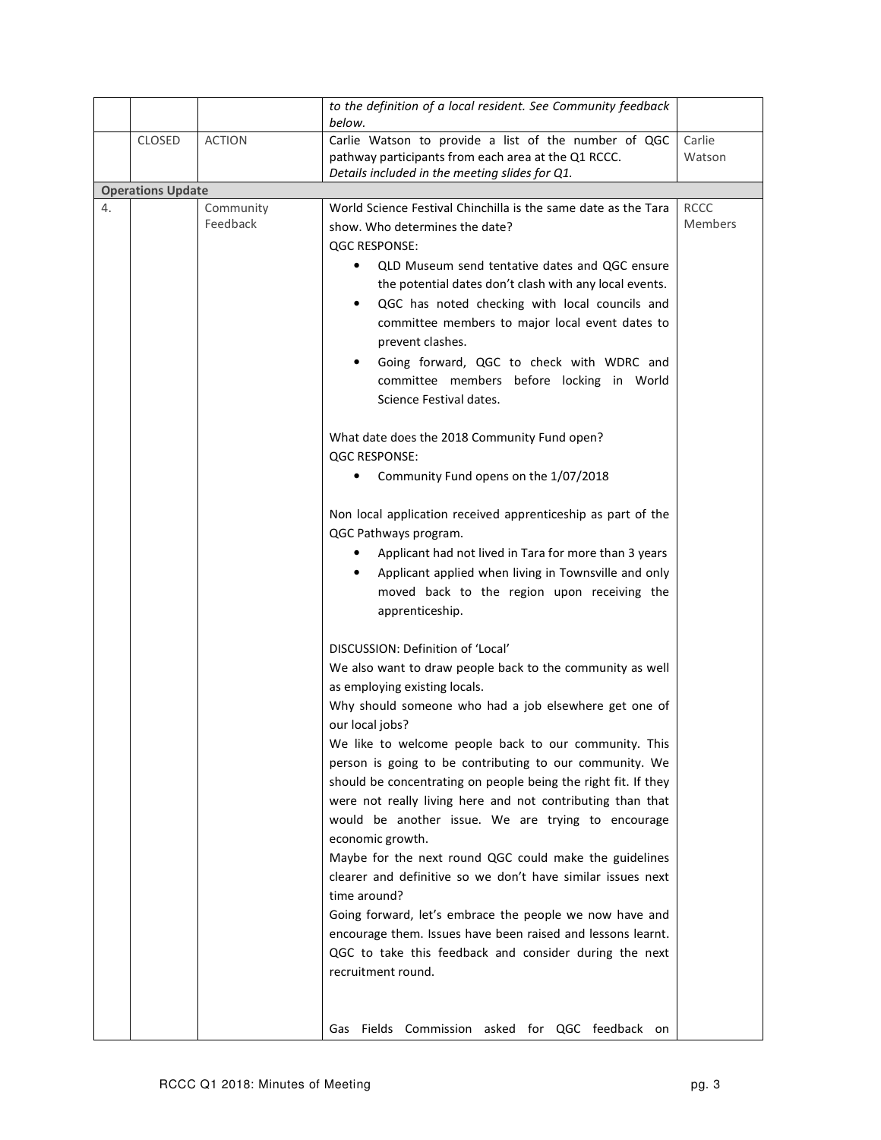|    |                          |                       | to the definition of a local resident. See Community feedback<br>below.                                  |                        |
|----|--------------------------|-----------------------|----------------------------------------------------------------------------------------------------------|------------------------|
|    | CLOSED                   | <b>ACTION</b>         | Carlie Watson to provide a list of the number of QGC                                                     | Carlie                 |
|    |                          |                       | pathway participants from each area at the Q1 RCCC.                                                      | Watson                 |
|    |                          |                       | Details included in the meeting slides for Q1.                                                           |                        |
|    | <b>Operations Update</b> |                       |                                                                                                          |                        |
| 4. |                          | Community<br>Feedback | World Science Festival Chinchilla is the same date as the Tara                                           | <b>RCCC</b><br>Members |
|    |                          |                       | show. Who determines the date?                                                                           |                        |
|    |                          |                       | <b>QGC RESPONSE:</b>                                                                                     |                        |
|    |                          |                       | QLD Museum send tentative dates and QGC ensure<br>$\bullet$                                              |                        |
|    |                          |                       | the potential dates don't clash with any local events.<br>QGC has noted checking with local councils and |                        |
|    |                          |                       | committee members to major local event dates to                                                          |                        |
|    |                          |                       | prevent clashes.                                                                                         |                        |
|    |                          |                       | Going forward, QGC to check with WDRC and<br>$\bullet$                                                   |                        |
|    |                          |                       | committee members before locking in World                                                                |                        |
|    |                          |                       | Science Festival dates.                                                                                  |                        |
|    |                          |                       |                                                                                                          |                        |
|    |                          |                       | What date does the 2018 Community Fund open?                                                             |                        |
|    |                          |                       | <b>QGC RESPONSE:</b>                                                                                     |                        |
|    |                          |                       | Community Fund opens on the 1/07/2018                                                                    |                        |
|    |                          |                       |                                                                                                          |                        |
|    |                          |                       | Non local application received apprenticeship as part of the                                             |                        |
|    |                          |                       | QGC Pathways program.                                                                                    |                        |
|    |                          |                       | Applicant had not lived in Tara for more than 3 years                                                    |                        |
|    |                          |                       | Applicant applied when living in Townsville and only<br>٠                                                |                        |
|    |                          |                       | moved back to the region upon receiving the                                                              |                        |
|    |                          |                       | apprenticeship.                                                                                          |                        |
|    |                          |                       | DISCUSSION: Definition of 'Local'                                                                        |                        |
|    |                          |                       | We also want to draw people back to the community as well                                                |                        |
|    |                          |                       | as employing existing locals.                                                                            |                        |
|    |                          |                       | Why should someone who had a job elsewhere get one of                                                    |                        |
|    |                          |                       | our local jobs?                                                                                          |                        |
|    |                          |                       | We like to welcome people back to our community. This                                                    |                        |
|    |                          |                       | person is going to be contributing to our community. We                                                  |                        |
|    |                          |                       | should be concentrating on people being the right fit. If they                                           |                        |
|    |                          |                       | were not really living here and not contributing than that                                               |                        |
|    |                          |                       | would be another issue. We are trying to encourage                                                       |                        |
|    |                          |                       | economic growth.<br>Maybe for the next round QGC could make the guidelines                               |                        |
|    |                          |                       | clearer and definitive so we don't have similar issues next                                              |                        |
|    |                          |                       | time around?                                                                                             |                        |
|    |                          |                       | Going forward, let's embrace the people we now have and                                                  |                        |
|    |                          |                       | encourage them. Issues have been raised and lessons learnt.                                              |                        |
|    |                          |                       | QGC to take this feedback and consider during the next                                                   |                        |
|    |                          |                       | recruitment round.                                                                                       |                        |
|    |                          |                       |                                                                                                          |                        |
|    |                          |                       |                                                                                                          |                        |
|    |                          |                       | Fields Commission asked for QGC feedback on<br>Gas                                                       |                        |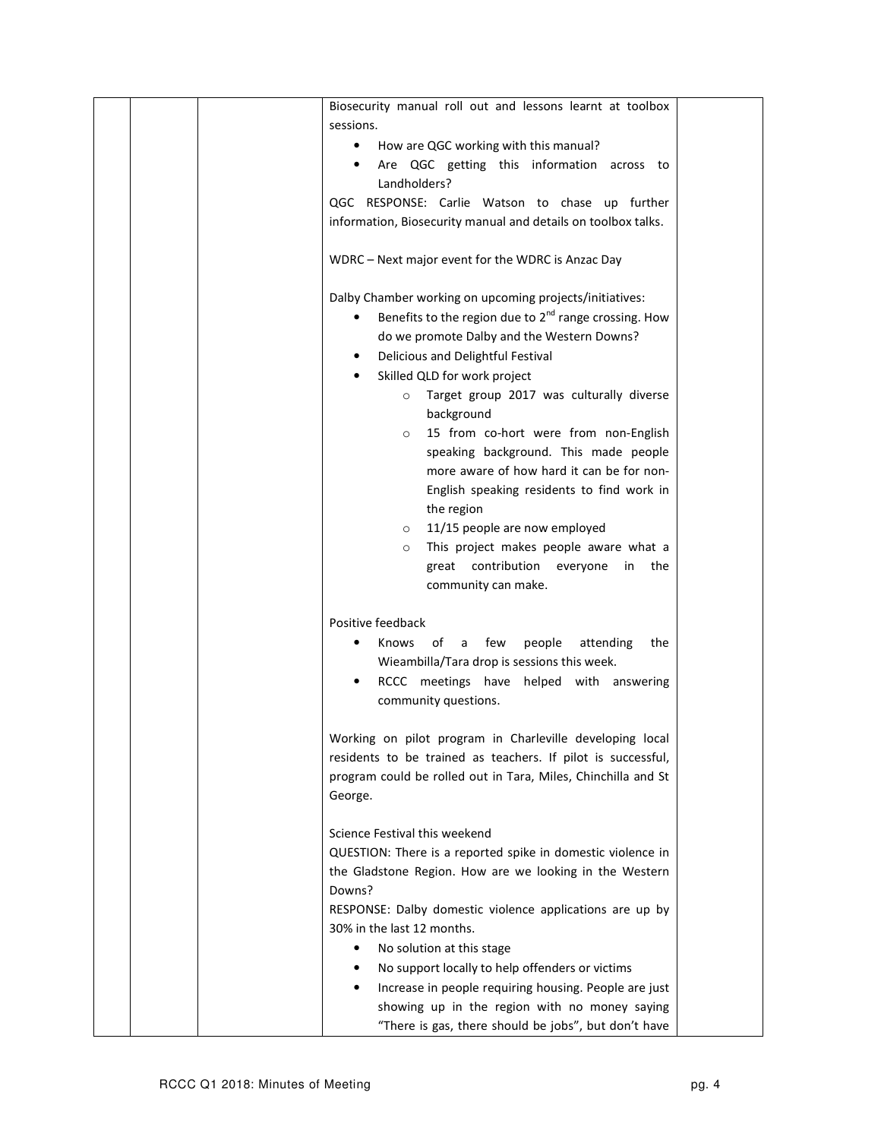|  | Biosecurity manual roll out and lessons learnt at toolbox     |  |
|--|---------------------------------------------------------------|--|
|  | sessions.                                                     |  |
|  | How are QGC working with this manual?<br>٠                    |  |
|  | Are QGC getting this information across to                    |  |
|  | Landholders?                                                  |  |
|  | QGC RESPONSE: Carlie Watson to chase up further               |  |
|  | information, Biosecurity manual and details on toolbox talks. |  |
|  |                                                               |  |
|  | WDRC - Next major event for the WDRC is Anzac Day             |  |
|  |                                                               |  |
|  |                                                               |  |
|  | Dalby Chamber working on upcoming projects/initiatives:       |  |
|  | Benefits to the region due to $2^{nd}$ range crossing. How    |  |
|  | do we promote Dalby and the Western Downs?                    |  |
|  | Delicious and Delightful Festival<br>٠                        |  |
|  | Skilled QLD for work project                                  |  |
|  | Target group 2017 was culturally diverse<br>$\circ$           |  |
|  | background                                                    |  |
|  | 15 from co-hort were from non-English<br>$\circ$              |  |
|  | speaking background. This made people                         |  |
|  | more aware of how hard it can be for non-                     |  |
|  | English speaking residents to find work in                    |  |
|  | the region                                                    |  |
|  | 11/15 people are now employed<br>$\circ$                      |  |
|  | This project makes people aware what a<br>$\circ$             |  |
|  | great contribution everyone<br>the                            |  |
|  | in                                                            |  |
|  | community can make.                                           |  |
|  |                                                               |  |
|  | Positive feedback                                             |  |
|  | Knows<br>of<br>few<br>people<br>attending<br>a<br>the<br>٠    |  |
|  | Wieambilla/Tara drop is sessions this week.                   |  |
|  | RCCC meetings have helped with answering                      |  |
|  | community questions.                                          |  |
|  |                                                               |  |
|  | Working on pilot program in Charleville developing local      |  |
|  | residents to be trained as teachers. If pilot is successful,  |  |
|  | program could be rolled out in Tara, Miles, Chinchilla and St |  |
|  | George.                                                       |  |
|  |                                                               |  |
|  | Science Festival this weekend                                 |  |
|  | QUESTION: There is a reported spike in domestic violence in   |  |
|  | the Gladstone Region. How are we looking in the Western       |  |
|  | Downs?                                                        |  |
|  | RESPONSE: Dalby domestic violence applications are up by      |  |
|  | 30% in the last 12 months.                                    |  |
|  | No solution at this stage<br>٠                                |  |
|  | No support locally to help offenders or victims               |  |
|  |                                                               |  |
|  | Increase in people requiring housing. People are just         |  |
|  | showing up in the region with no money saying                 |  |
|  | "There is gas, there should be jobs", but don't have          |  |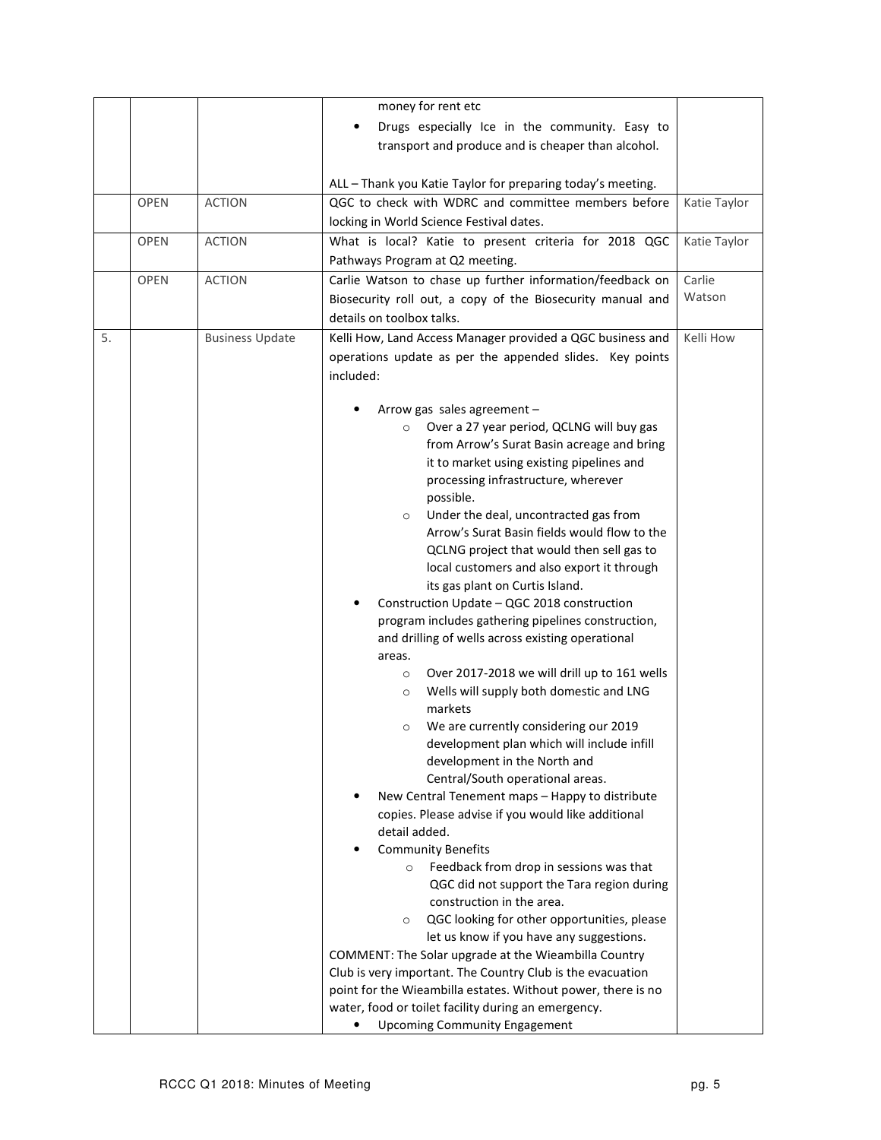|    |             |                        | money for rent etc                                                                                 |              |
|----|-------------|------------------------|----------------------------------------------------------------------------------------------------|--------------|
|    |             |                        | Drugs especially Ice in the community. Easy to                                                     |              |
|    |             |                        | transport and produce and is cheaper than alcohol.                                                 |              |
|    |             |                        |                                                                                                    |              |
|    |             |                        | ALL - Thank you Katie Taylor for preparing today's meeting.                                        |              |
|    | <b>OPEN</b> | <b>ACTION</b>          | QGC to check with WDRC and committee members before                                                | Katie Taylor |
|    |             |                        | locking in World Science Festival dates.                                                           |              |
|    | <b>OPEN</b> | <b>ACTION</b>          | What is local? Katie to present criteria for 2018 QGC                                              | Katie Taylor |
|    |             |                        | Pathways Program at Q2 meeting.                                                                    |              |
|    | <b>OPEN</b> | <b>ACTION</b>          | Carlie Watson to chase up further information/feedback on                                          | Carlie       |
|    |             |                        | Biosecurity roll out, a copy of the Biosecurity manual and                                         | Watson       |
|    |             |                        | details on toolbox talks.                                                                          |              |
| 5. |             | <b>Business Update</b> | Kelli How, Land Access Manager provided a QGC business and                                         | Kelli How    |
|    |             |                        | operations update as per the appended slides. Key points                                           |              |
|    |             |                        | included:                                                                                          |              |
|    |             |                        |                                                                                                    |              |
|    |             |                        | Arrow gas sales agreement -                                                                        |              |
|    |             |                        | Over a 27 year period, QCLNG will buy gas<br>$\circ$                                               |              |
|    |             |                        | from Arrow's Surat Basin acreage and bring                                                         |              |
|    |             |                        | it to market using existing pipelines and                                                          |              |
|    |             |                        | processing infrastructure, wherever                                                                |              |
|    |             |                        | possible.<br>Under the deal, uncontracted gas from                                                 |              |
|    |             |                        | $\circ$<br>Arrow's Surat Basin fields would flow to the                                            |              |
|    |             |                        | QCLNG project that would then sell gas to                                                          |              |
|    |             |                        | local customers and also export it through                                                         |              |
|    |             |                        | its gas plant on Curtis Island.                                                                    |              |
|    |             |                        | Construction Update - QGC 2018 construction                                                        |              |
|    |             |                        | program includes gathering pipelines construction,                                                 |              |
|    |             |                        | and drilling of wells across existing operational                                                  |              |
|    |             |                        | areas.                                                                                             |              |
|    |             |                        | Over 2017-2018 we will drill up to 161 wells<br>$\circ$                                            |              |
|    |             |                        | Wells will supply both domestic and LNG<br>$\circ$<br>markets                                      |              |
|    |             |                        | We are currently considering our 2019<br>$\circ$                                                   |              |
|    |             |                        | development plan which will include infill                                                         |              |
|    |             |                        | development in the North and                                                                       |              |
|    |             |                        | Central/South operational areas.                                                                   |              |
|    |             |                        | New Central Tenement maps - Happy to distribute                                                    |              |
|    |             |                        | copies. Please advise if you would like additional                                                 |              |
|    |             |                        | detail added.                                                                                      |              |
|    |             |                        | <b>Community Benefits</b>                                                                          |              |
|    |             |                        | Feedback from drop in sessions was that<br>$\circ$                                                 |              |
|    |             |                        | QGC did not support the Tara region during                                                         |              |
|    |             |                        | construction in the area.                                                                          |              |
|    |             |                        | QGC looking for other opportunities, please<br>$\circ$<br>let us know if you have any suggestions. |              |
|    |             |                        | COMMENT: The Solar upgrade at the Wieambilla Country                                               |              |
|    |             |                        | Club is very important. The Country Club is the evacuation                                         |              |
|    |             |                        | point for the Wieambilla estates. Without power, there is no                                       |              |
|    |             |                        | water, food or toilet facility during an emergency.                                                |              |
|    |             |                        | <b>Upcoming Community Engagement</b><br>٠                                                          |              |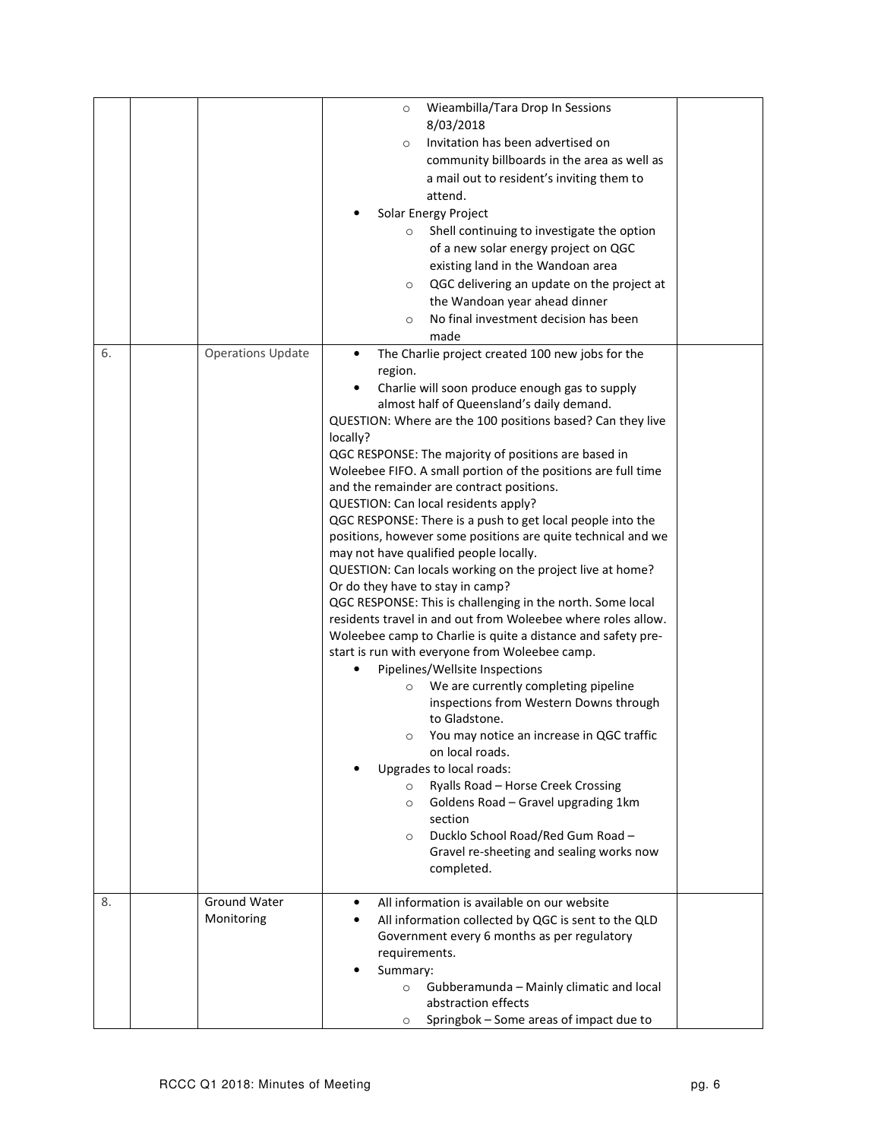|    |                          | Wieambilla/Tara Drop In Sessions<br>$\circ$                                |  |
|----|--------------------------|----------------------------------------------------------------------------|--|
|    |                          | 8/03/2018                                                                  |  |
|    |                          | Invitation has been advertised on<br>$\circ$                               |  |
|    |                          | community billboards in the area as well as                                |  |
|    |                          | a mail out to resident's inviting them to                                  |  |
|    |                          | attend.                                                                    |  |
|    |                          | Solar Energy Project                                                       |  |
|    |                          | Shell continuing to investigate the option<br>$\circ$                      |  |
|    |                          | of a new solar energy project on QGC                                       |  |
|    |                          | existing land in the Wandoan area                                          |  |
|    |                          | QGC delivering an update on the project at<br>$\circ$                      |  |
|    |                          | the Wandoan year ahead dinner                                              |  |
|    |                          | No final investment decision has been<br>$\circ$                           |  |
|    |                          | made                                                                       |  |
| 6. | <b>Operations Update</b> | The Charlie project created 100 new jobs for the<br>$\bullet$              |  |
|    |                          | region.                                                                    |  |
|    |                          | Charlie will soon produce enough gas to supply<br>$\bullet$                |  |
|    |                          | almost half of Queensland's daily demand.                                  |  |
|    |                          | QUESTION: Where are the 100 positions based? Can they live                 |  |
|    |                          | locally?                                                                   |  |
|    |                          | QGC RESPONSE: The majority of positions are based in                       |  |
|    |                          | Woleebee FIFO. A small portion of the positions are full time              |  |
|    |                          | and the remainder are contract positions.                                  |  |
|    |                          | QUESTION: Can local residents apply?                                       |  |
|    |                          | QGC RESPONSE: There is a push to get local people into the                 |  |
|    |                          | positions, however some positions are quite technical and we               |  |
|    |                          | may not have qualified people locally.                                     |  |
|    |                          | QUESTION: Can locals working on the project live at home?                  |  |
|    |                          | Or do they have to stay in camp?                                           |  |
|    |                          | QGC RESPONSE: This is challenging in the north. Some local                 |  |
|    |                          | residents travel in and out from Woleebee where roles allow.               |  |
|    |                          | Woleebee camp to Charlie is quite a distance and safety pre-               |  |
|    |                          | start is run with everyone from Woleebee camp.                             |  |
|    |                          | Pipelines/Wellsite Inspections                                             |  |
|    |                          | We are currently completing pipeline<br>$\circ$                            |  |
|    |                          | inspections from Western Downs through                                     |  |
|    |                          | to Gladstone.                                                              |  |
|    |                          | You may notice an increase in QGC traffic<br>$\circ$                       |  |
|    |                          | on local roads.                                                            |  |
|    |                          | Upgrades to local roads:                                                   |  |
|    |                          | Ryalls Road - Horse Creek Crossing<br>$\circ$                              |  |
|    |                          | Goldens Road - Gravel upgrading 1km<br>$\circ$                             |  |
|    |                          | section                                                                    |  |
|    |                          | Ducklo School Road/Red Gum Road -<br>$\circ$                               |  |
|    |                          | Gravel re-sheeting and sealing works now                                   |  |
|    |                          | completed.                                                                 |  |
|    |                          |                                                                            |  |
| 8. | Ground Water             | All information is available on our website<br>$\bullet$                   |  |
|    | Monitoring               | All information collected by QGC is sent to the QLD<br>٠                   |  |
|    |                          | Government every 6 months as per regulatory                                |  |
|    |                          | requirements.                                                              |  |
|    |                          | Summary:                                                                   |  |
|    |                          | Gubberamunda - Mainly climatic and local<br>$\circ$<br>abstraction effects |  |
|    |                          |                                                                            |  |
|    |                          | Springbok – Some areas of impact due to<br>$\circ$                         |  |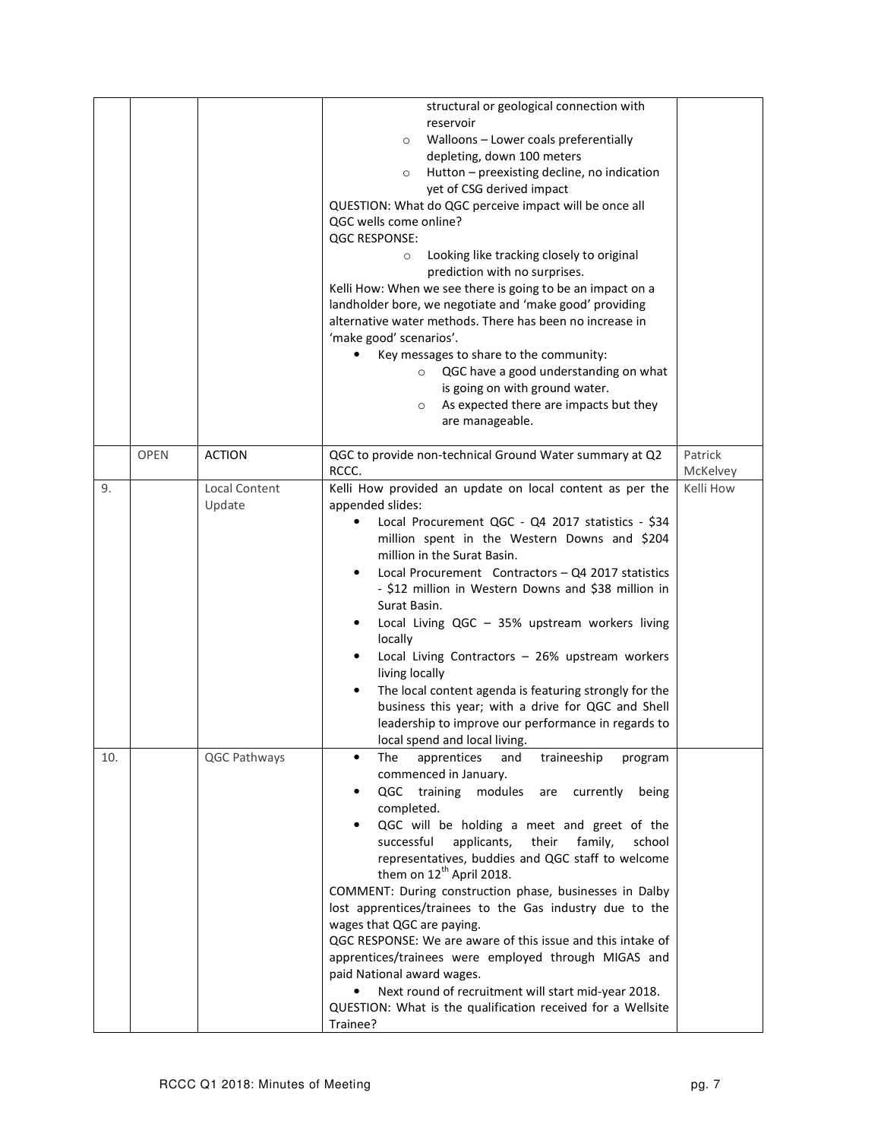|     |             |                                | structural or geological connection with<br>reservoir<br>Walloons - Lower coals preferentially<br>$\circ$<br>depleting, down 100 meters<br>Hutton - preexisting decline, no indication<br>$\circ$<br>yet of CSG derived impact<br>QUESTION: What do QGC perceive impact will be once all<br>QGC wells come online?<br><b>QGC RESPONSE:</b><br>Looking like tracking closely to original<br>$\circ$<br>prediction with no surprises.<br>Kelli How: When we see there is going to be an impact on a<br>landholder bore, we negotiate and 'make good' providing<br>alternative water methods. There has been no increase in<br>'make good' scenarios'.<br>Key messages to share to the community:<br>QGC have a good understanding on what<br>$\circ$<br>is going on with ground water.<br>As expected there are impacts but they<br>$\circ$<br>are manageable. |                     |
|-----|-------------|--------------------------------|--------------------------------------------------------------------------------------------------------------------------------------------------------------------------------------------------------------------------------------------------------------------------------------------------------------------------------------------------------------------------------------------------------------------------------------------------------------------------------------------------------------------------------------------------------------------------------------------------------------------------------------------------------------------------------------------------------------------------------------------------------------------------------------------------------------------------------------------------------------|---------------------|
|     | <b>OPEN</b> | <b>ACTION</b>                  | QGC to provide non-technical Ground Water summary at Q2<br>RCCC.                                                                                                                                                                                                                                                                                                                                                                                                                                                                                                                                                                                                                                                                                                                                                                                             | Patrick<br>McKelvey |
| 9.  |             | <b>Local Content</b><br>Update | Kelli How provided an update on local content as per the<br>appended slides:<br>Local Procurement QGC - Q4 2017 statistics - \$34<br>$\bullet$<br>million spent in the Western Downs and \$204<br>million in the Surat Basin.<br>Local Procurement Contractors - Q4 2017 statistics<br>- \$12 million in Western Downs and \$38 million in<br>Surat Basin.<br>Local Living QGC - 35% upstream workers living<br>locally<br>Local Living Contractors - 26% upstream workers<br>٠<br>living locally<br>The local content agenda is featuring strongly for the<br>business this year; with a drive for QGC and Shell<br>leadership to improve our performance in regards to<br>local spend and local living.                                                                                                                                                    | Kelli How           |
| 10. |             | QGC Pathways                   | apprentices<br>traineeship<br>The<br>and<br>program<br>٠<br>commenced in January.<br>QGC training<br>modules<br>currently<br>are<br>being<br>completed.<br>QGC will be holding a meet and greet of the<br>successful<br>applicants,<br>their<br>family,<br>school<br>representatives, buddies and QGC staff to welcome<br>them on 12 <sup>th</sup> April 2018.<br>COMMENT: During construction phase, businesses in Dalby<br>lost apprentices/trainees to the Gas industry due to the<br>wages that QGC are paying.<br>QGC RESPONSE: We are aware of this issue and this intake of<br>apprentices/trainees were employed through MIGAS and<br>paid National award wages.<br>Next round of recruitment will start mid-year 2018.<br>٠<br>QUESTION: What is the qualification received for a Wellsite<br>Trainee?                                              |                     |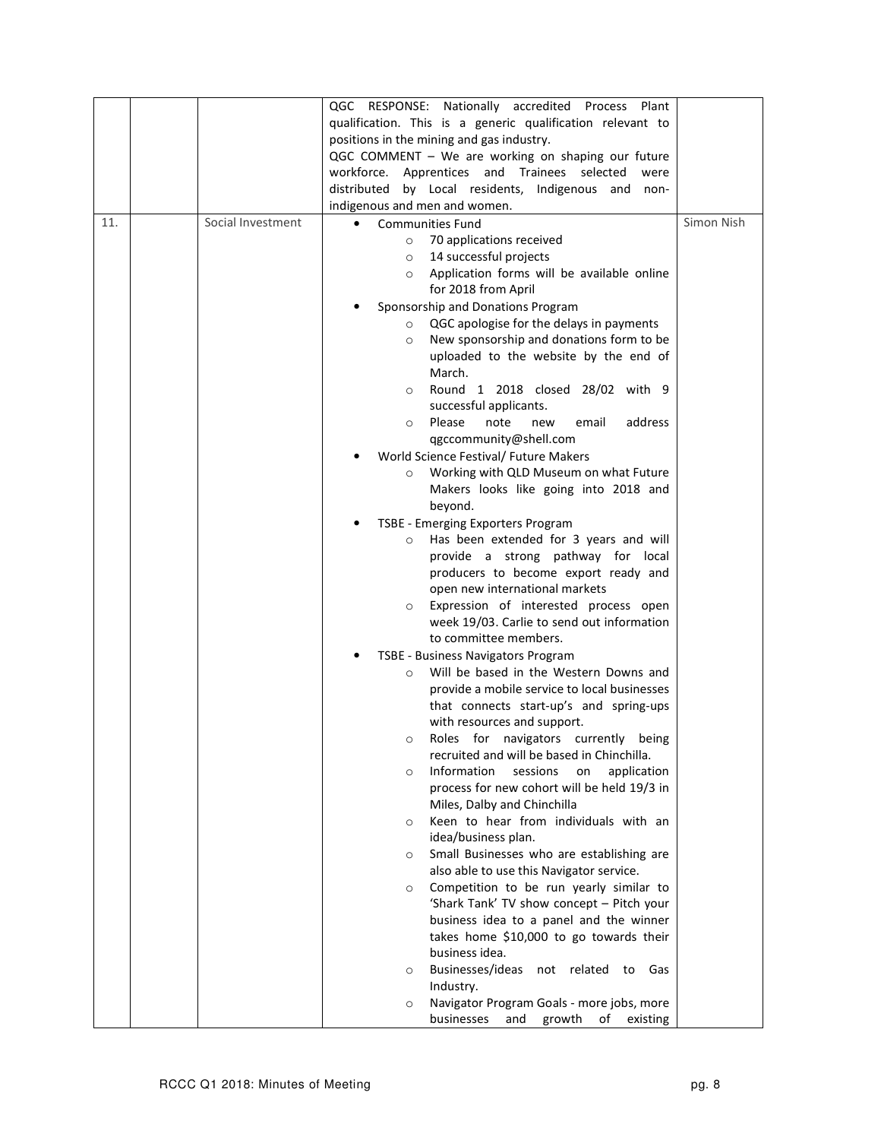|     |                   | QGC RESPONSE: Nationally accredited Process Plant          |            |
|-----|-------------------|------------------------------------------------------------|------------|
|     |                   | qualification. This is a generic qualification relevant to |            |
|     |                   | positions in the mining and gas industry.                  |            |
|     |                   | QGC COMMENT - We are working on shaping our future         |            |
|     |                   | workforce. Apprentices and Trainees selected<br>were       |            |
|     |                   | distributed                                                |            |
|     |                   | by Local residents, Indigenous and<br>non-                 |            |
|     |                   | indigenous and men and women.                              |            |
| 11. | Social Investment | <b>Communities Fund</b><br>$\bullet$                       | Simon Nish |
|     |                   | 70 applications received<br>$\circ$                        |            |
|     |                   | 14 successful projects<br>$\circ$                          |            |
|     |                   | Application forms will be available online<br>$\circ$      |            |
|     |                   | for 2018 from April                                        |            |
|     |                   | Sponsorship and Donations Program                          |            |
|     |                   | QGC apologise for the delays in payments<br>$\circ$        |            |
|     |                   | New sponsorship and donations form to be<br>$\circ$        |            |
|     |                   | uploaded to the website by the end of                      |            |
|     |                   | March.                                                     |            |
|     |                   | Round 1 2018 closed 28/02 with 9<br>$\circ$                |            |
|     |                   | successful applicants.                                     |            |
|     |                   | Please<br>address<br>note<br>email<br>new<br>$\circ$       |            |
|     |                   | qgccommunity@shell.com                                     |            |
|     |                   | World Science Festival/ Future Makers                      |            |
|     |                   | Working with QLD Museum on what Future<br>$\circ$          |            |
|     |                   | Makers looks like going into 2018 and                      |            |
|     |                   | beyond.                                                    |            |
|     |                   | TSBE - Emerging Exporters Program                          |            |
|     |                   | Has been extended for 3 years and will<br>$\circ$          |            |
|     |                   | provide a strong pathway for local                         |            |
|     |                   | producers to become export ready and                       |            |
|     |                   | open new international markets                             |            |
|     |                   | Expression of interested process open<br>$\circ$           |            |
|     |                   | week 19/03. Carlie to send out information                 |            |
|     |                   | to committee members.                                      |            |
|     |                   | TSBE - Business Navigators Program                         |            |
|     |                   | Will be based in the Western Downs and<br>$\circ$          |            |
|     |                   | provide a mobile service to local businesses               |            |
|     |                   | that connects start-up's and spring-ups                    |            |
|     |                   | with resources and support.                                |            |
|     |                   | Roles for navigators currently being<br>$\circ$            |            |
|     |                   | recruited and will be based in Chinchilla.                 |            |
|     |                   | Information<br>sessions<br>application<br>on<br>$\circ$    |            |
|     |                   | process for new cohort will be held 19/3 in                |            |
|     |                   | Miles, Dalby and Chinchilla                                |            |
|     |                   | Keen to hear from individuals with an<br>$\circ$           |            |
|     |                   | idea/business plan.                                        |            |
|     |                   | Small Businesses who are establishing are<br>O             |            |
|     |                   | also able to use this Navigator service.                   |            |
|     |                   | Competition to be run yearly similar to<br>$\circ$         |            |
|     |                   | 'Shark Tank' TV show concept - Pitch your                  |            |
|     |                   | business idea to a panel and the winner                    |            |
|     |                   | takes home \$10,000 to go towards their                    |            |
|     |                   | business idea.                                             |            |
|     |                   | Businesses/ideas<br>not related to Gas                     |            |
|     |                   | $\circ$                                                    |            |
|     |                   | Industry.                                                  |            |
|     |                   | Navigator Program Goals - more jobs, more<br>$\circ$       |            |
|     |                   | businesses<br>and<br>growth<br>of<br>existing              |            |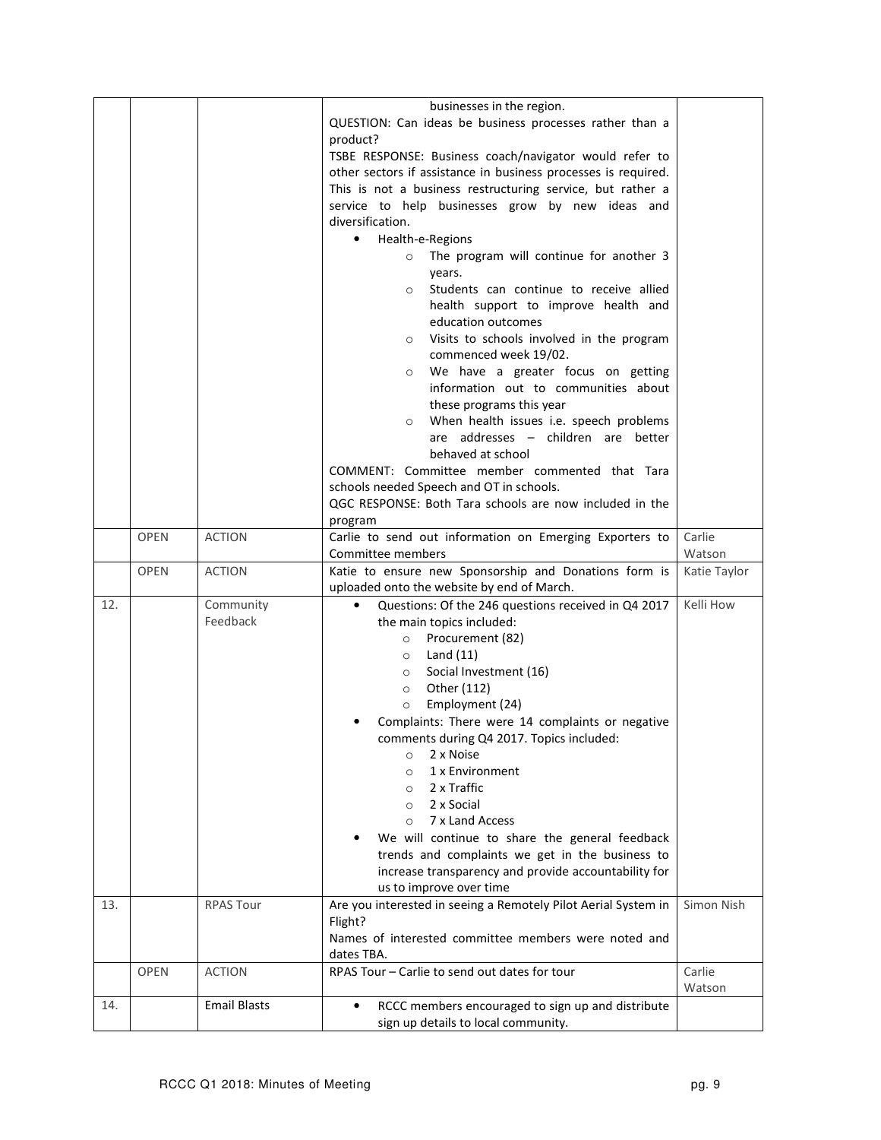|     |             |                     | businesses in the region.                                                                             |              |
|-----|-------------|---------------------|-------------------------------------------------------------------------------------------------------|--------------|
|     |             |                     | QUESTION: Can ideas be business processes rather than a                                               |              |
|     |             |                     | product?                                                                                              |              |
|     |             |                     | TSBE RESPONSE: Business coach/navigator would refer to                                                |              |
|     |             |                     | other sectors if assistance in business processes is required.                                        |              |
|     |             |                     | This is not a business restructuring service, but rather a                                            |              |
|     |             |                     | service to help businesses grow by new ideas and                                                      |              |
|     |             |                     | diversification.                                                                                      |              |
|     |             |                     | Health-e-Regions<br>$\bullet$                                                                         |              |
|     |             |                     | The program will continue for another 3                                                               |              |
|     |             |                     | $\circ$                                                                                               |              |
|     |             |                     | years.                                                                                                |              |
|     |             |                     | Students can continue to receive allied<br>$\circ$                                                    |              |
|     |             |                     | health support to improve health and                                                                  |              |
|     |             |                     | education outcomes                                                                                    |              |
|     |             |                     | Visits to schools involved in the program<br>$\circ$                                                  |              |
|     |             |                     | commenced week 19/02.                                                                                 |              |
|     |             |                     | We have a greater focus on getting<br>$\circ$                                                         |              |
|     |             |                     | information out to communities about                                                                  |              |
|     |             |                     | these programs this year                                                                              |              |
|     |             |                     | When health issues i.e. speech problems                                                               |              |
|     |             |                     | are addresses - children are better                                                                   |              |
|     |             |                     | behaved at school                                                                                     |              |
|     |             |                     | COMMENT: Committee member commented that Tara                                                         |              |
|     |             |                     | schools needed Speech and OT in schools.                                                              |              |
|     |             |                     | QGC RESPONSE: Both Tara schools are now included in the                                               |              |
|     |             |                     | program                                                                                               |              |
|     | <b>OPEN</b> | <b>ACTION</b>       | Carlie to send out information on Emerging Exporters to                                               | Carlie       |
|     |             |                     | Committee members                                                                                     | Watson       |
|     | <b>OPEN</b> | <b>ACTION</b>       | Katie to ensure new Sponsorship and Donations form is                                                 | Katie Taylor |
|     |             |                     | uploaded onto the website by end of March.                                                            |              |
| 12. |             | Community           | Questions: Of the 246 questions received in Q4 2017                                                   | Kelli How    |
|     |             | Feedback            | the main topics included:                                                                             |              |
|     |             |                     | $\circ$                                                                                               |              |
|     |             |                     | Procurement (82)                                                                                      |              |
|     |             |                     | Land $(11)$<br>$\circ$                                                                                |              |
|     |             |                     | Social Investment (16)<br>$\circ$                                                                     |              |
|     |             |                     | Other (112)<br>$\circ$                                                                                |              |
|     |             |                     | Employment (24)<br>$\circ$                                                                            |              |
|     |             |                     | Complaints: There were 14 complaints or negative                                                      |              |
|     |             |                     | comments during Q4 2017. Topics included:                                                             |              |
|     |             |                     | 2 x Noise<br>$\circ$                                                                                  |              |
|     |             |                     | 1 x Environment<br>$\circ$                                                                            |              |
|     |             |                     | 2 x Traffic<br>$\circ$                                                                                |              |
|     |             |                     | 2 x Social<br>$\circ$                                                                                 |              |
|     |             |                     | 7 x Land Access<br>$\circ$                                                                            |              |
|     |             |                     | We will continue to share the general feedback                                                        |              |
|     |             |                     | trends and complaints we get in the business to                                                       |              |
|     |             |                     | increase transparency and provide accountability for                                                  |              |
|     |             |                     | us to improve over time                                                                               |              |
| 13. |             | <b>RPAS Tour</b>    | Are you interested in seeing a Remotely Pilot Aerial System in                                        | Simon Nish   |
|     |             |                     | Flight?                                                                                               |              |
|     |             |                     | Names of interested committee members were noted and                                                  |              |
|     |             |                     | dates TBA.                                                                                            |              |
|     | <b>OPEN</b> | <b>ACTION</b>       | RPAS Tour - Carlie to send out dates for tour                                                         | Carlie       |
|     |             |                     |                                                                                                       | Watson       |
| 14. |             | <b>Email Blasts</b> | RCCC members encouraged to sign up and distribute<br>$\bullet$<br>sign up details to local community. |              |